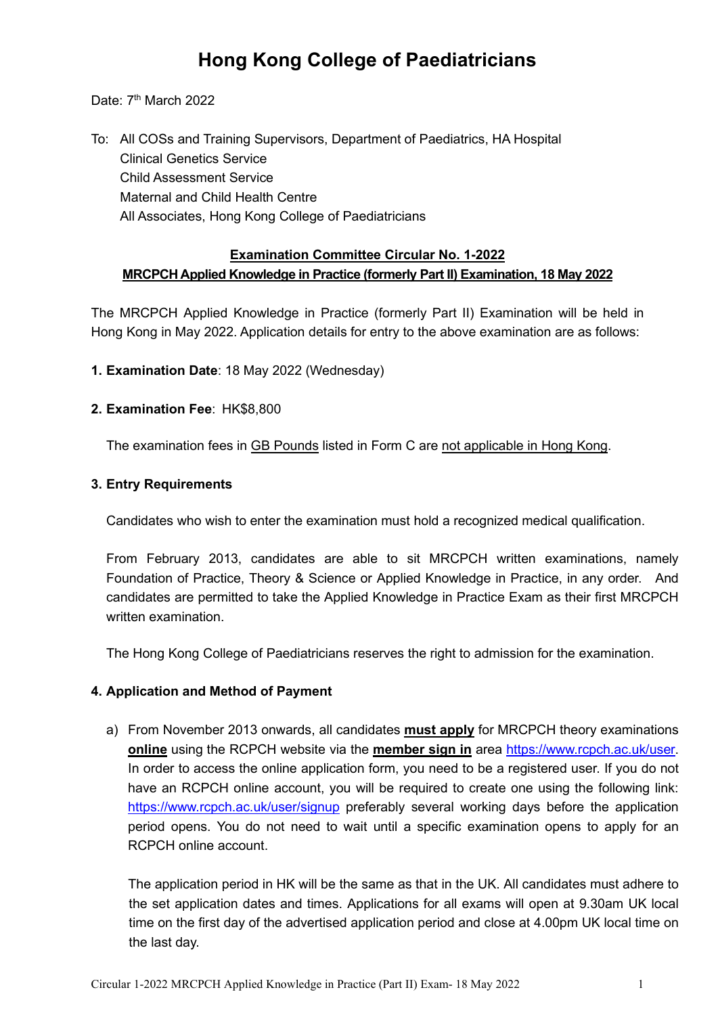# **Hong Kong College of Paediatricians**

Date: 7<sup>th</sup> March 2022

To: All COSs and Training Supervisors, Department of Paediatrics, HA Hospital Clinical Genetics Service Child Assessment Service Maternal and Child Health Centre All Associates, Hong Kong College of Paediatricians

## **Examination Committee Circular No. 1-2022 MRCPCH Applied Knowledge in Practice (formerly Part II) Examination, 18 May 2022**

The MRCPCH Applied Knowledge in Practice (formerly Part II) Examination will be held in Hong Kong in May 2022. Application details for entry to the above examination are as follows:

**1. Examination Date**: 18 May 2022 (Wednesday)

### **2. Examination Fee**: HK\$8,800

The examination fees in GB Pounds listed in Form C are not applicable in Hong Kong.

### **3. Entry Requirements**

Candidates who wish to enter the examination must hold a recognized medical qualification.

From February 2013, candidates are able to sit MRCPCH written examinations, namely Foundation of Practice, Theory & Science or Applied Knowledge in Practice, in any order. And candidates are permitted to take the Applied Knowledge in Practice Exam as their first MRCPCH written examination.

The Hong Kong College of Paediatricians reserves the right to admission for the examination.

## **4. Application and Method of Payment**

a) From November 2013 onwards, all candidates **must apply** for MRCPCH theory examinations **online** using the RCPCH website via the **member sign in** area [https://www.rcpch.ac.uk/user.](https://www.rcpch.ac.uk/user) In order to access the online application form, you need to be a registered user. If you do not have an RCPCH online account, you will be required to create one using the following link: <https://www.rcpch.ac.uk/user/signup> preferably several working days before the application period opens. You do not need to wait until a specific examination opens to apply for an RCPCH online account.

The application period in HK will be the same as that in the UK. All candidates must adhere to the set application dates and times. Applications for all exams will open at 9.30am UK local time on the first day of the advertised application period and close at 4.00pm UK local time on the last day.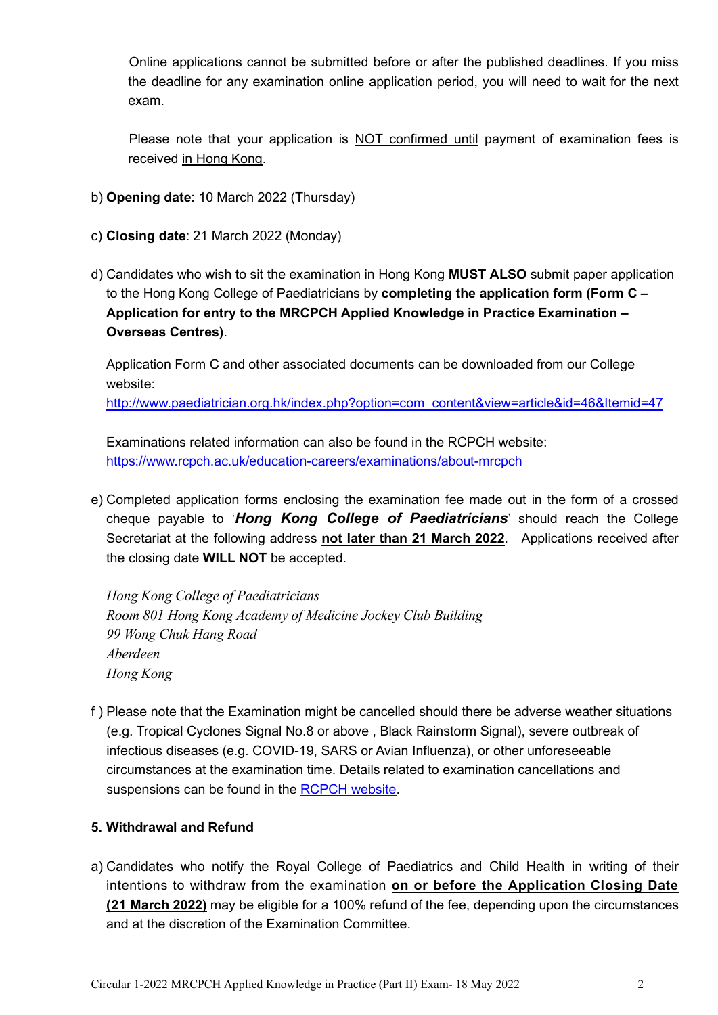Online applications cannot be submitted before or after the published deadlines. If you miss the deadline for any examination online application period, you will need to wait for the next exam.

Please note that your application is NOT confirmed until payment of examination fees is received in Hong Kong.

- b) **Opening date**: 10 March 2022 (Thursday)
- c) **Closing date**: 21 March 2022 (Monday)
- d) Candidates who wish to sit the examination in Hong Kong **MUST ALSO** submit paper application to the Hong Kong College of Paediatricians by **completing the application form (Form C – Application for entry to the MRCPCH Applied Knowledge in Practice Examination – Overseas Centres)**.

Application Form C and other associated documents can be downloaded from our College website:

[http://www.paediatrician.org.hk/index.php?option=com\\_content&view=article&id=46&Itemid=47](http://www.paediatrician.org.hk/index.php?option=com_content&view=article&id=46&Itemid=47)

Examinations related information can also be found in the RCPCH website: <https://www.rcpch.ac.uk/education-careers/examinations/about-mrcpch>

e) Completed application forms enclosing the examination fee made out in the form of a crossed cheque payable to '*Hong Kong College of Paediatricians*' should reach the College Secretariat at the following address **not later than 21 March 2022**. Applications received after the closing date **WILL NOT** be accepted.

*Hong Kong College of Paediatricians Room 801 Hong Kong Academy of Medicine Jockey Club Building 99 Wong Chuk Hang Road Aberdeen Hong Kong*

f ) Please note that the Examination might be cancelled should there be adverse weather situations (e.g. Tropical Cyclones Signal No.8 or above , Black Rainstorm Signal), severe outbreak of infectious diseases (e.g. COVID-19, SARS or Avian Influenza), or other unforeseeable circumstances at the examination time. Details related to examination cancellations and suspensions can be found in the [RCPCH website.](https://www.rcpch.ac.uk/sites/default/files/2019-09/Appendix%20F.%20Cancellation%20or%20suspension%20of%20MRCPCH%20DCH%20examinations.v.1.1.29.7.17.pdf)

## **5. Withdrawal and Refund**

a) Candidates who notify the Royal College of Paediatrics and Child Health in writing of their intentions to withdraw from the examination **on or before the Application Closing Date (21 March 2022)** may be eligible for a 100% refund of the fee, depending upon the circumstances and at the discretion of the Examination Committee.